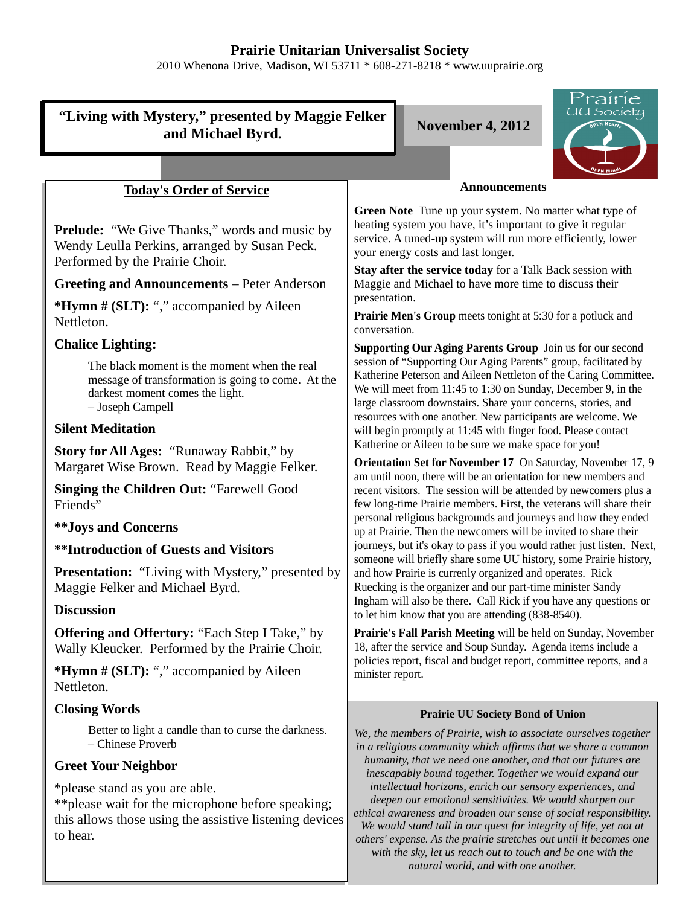# **Prairie Unitarian Universalist Society**

2010 Whenona Drive, Madison, WI 53711 \* 608-271-8218 \* www.uuprairie.org

#### rairie UU Society **"Living with Mystery," presented by Maggie Felker and Michael Byrd. November 4, 2012 Announcements Today's Order of Service** Green Note Tune up your system. No matter what type of heating system you have, it's important to give it regular **Prelude:** "We Give Thanks," words and music by service. A tuned-up system will run more efficiently, lower Wendy Leulla Perkins, arranged by Susan Peck. your energy costs and last longer. Performed by the Prairie Choir. **Stay after the service today** for a Talk Back session with **Greeting and Announcements** – Peter Anderson Maggie and Michael to have more time to discuss their presentation. **\*Hymn # (SLT):** "," accompanied by Aileen **Prairie Men's Group** meets tonight at 5:30 for a potluck and Nettleton. conversation. **Chalice Lighting: Supporting Our Aging Parents Group** Join us for our second session of "Supporting Our Aging Parents" group, facilitated by The black moment is the moment when the real Katherine Peterson and Aileen Nettleton of the Caring Committee. message of transformation is going to come. At the We will meet from 11:45 to 1:30 on Sunday, December 9, in the darkest moment comes the light. large classroom downstairs. Share your concerns, stories, and – Joseph Campell resources with one another. New participants are welcome. We **Silent Meditation** will begin promptly at 11:45 with finger food. Please contact Katherine or Aileen to be sure we make space for you! **Story for All Ages:** "Runaway Rabbit," by **Orientation Set for November 17** On Saturday, November 17, 9 Margaret Wise Brown. Read by Maggie Felker. am until noon, there will be an orientation for new members and **Singing the Children Out:** "Farewell Good recent visitors. The session will be attended by newcomers plus a few long-time Prairie members. First, the veterans will share their Friends" personal religious backgrounds and journeys and how they ended **\*\*Joys and Concerns** up at Prairie. Then the newcomers will be invited to share their journeys, but it's okay to pass if you would rather just listen. Next, **\*\*Introduction of Guests and Visitors** someone will briefly share some UU history, some Prairie history, **Presentation:** "Living with Mystery," presented by and how Prairie is currenly organized and operates. Rick Maggie Felker and Michael Byrd. Ruecking is the organizer and our part-time minister Sandy Ingham will also be there. Call Rick if you have any questions or **Discussion** to let him know that you are attending (838-8540). **Offering and Offertory:** "Each Step I Take," by **Prairie's Fall Parish Meeting** will be held on Sunday, November Wally Kleucker. Performed by the Prairie Choir. 18, after the service and Soup Sunday. Agenda items include a policies report, fiscal and budget report, committee reports, and a **\*Hymn # (SLT):** "," accompanied by Aileen minister report. Nettleton. **Closing Words Prairie UU Society Bond of Union** Better to light a candle than to curse the darkness. *We, the members of Prairie, wish to associate ourselves together* – Chinese Proverb *in a religious community which affirms that we share a common humanity, that we need one another, and that our futures are* **Greet Your Neighbor** *inescapably bound together. Together we would expand our intellectual horizons, enrich our sensory experiences, and* \*please stand as you are able. *deepen our emotional sensitivities. We would sharpen our* \*\*please wait for the microphone before speaking; *ethical awareness and broaden our sense of social responsibility.* this allows those using the assistive listening devices *We would stand tall in our quest for integrity of life, yet not at* to hear. *others' expense. As the prairie stretches out until it becomes one with the sky, let us reach out to touch and be one with the*

*natural world, and with one another.*